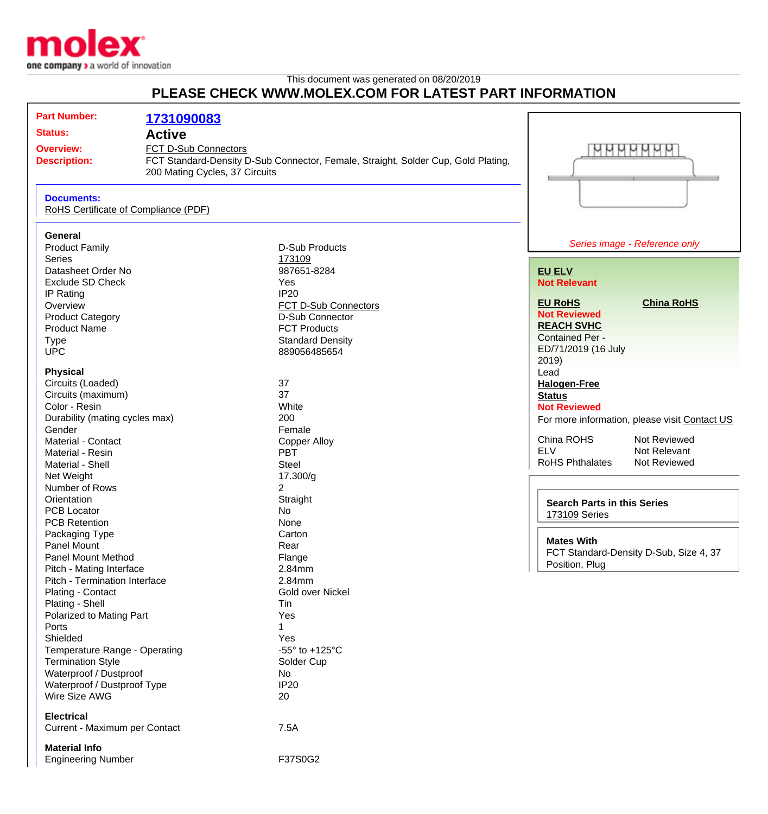

## This document was generated on 08/20/2019 **PLEASE CHECK WWW.MOLEX.COM FOR LATEST PART INFORMATION**

| <b>Part Number:</b><br><b>Status:</b><br><b>Overview:</b> | 1731090083<br><b>Active</b><br>FCT D-Sub Connectors |                                                                                   |                                                     | WWWWWW                                        |
|-----------------------------------------------------------|-----------------------------------------------------|-----------------------------------------------------------------------------------|-----------------------------------------------------|-----------------------------------------------|
| <b>Description:</b>                                       | 200 Mating Cycles, 37 Circuits                      | FCT Standard-Density D-Sub Connector, Female, Straight, Solder Cup, Gold Plating, |                                                     |                                               |
| <b>Documents:</b><br>RoHS Certificate of Compliance (PDF) |                                                     |                                                                                   |                                                     |                                               |
| <b>General</b>                                            |                                                     |                                                                                   |                                                     |                                               |
| <b>Product Family</b>                                     |                                                     | <b>D-Sub Products</b>                                                             |                                                     | Series image - Reference only                 |
| <b>Series</b>                                             |                                                     | 173109                                                                            |                                                     |                                               |
| Datasheet Order No                                        |                                                     | 987651-8284                                                                       | <b>EU ELV</b>                                       |                                               |
| <b>Exclude SD Check</b>                                   |                                                     | Yes                                                                               | <b>Not Relevant</b>                                 |                                               |
| IP Rating                                                 |                                                     | <b>IP20</b>                                                                       |                                                     |                                               |
| Overview                                                  |                                                     | FCT D-Sub Connectors                                                              | <b>EU RoHS</b>                                      | <b>China RoHS</b>                             |
| <b>Product Category</b>                                   |                                                     | D-Sub Connector                                                                   | <b>Not Reviewed</b>                                 |                                               |
| <b>Product Name</b>                                       |                                                     | <b>FCT Products</b>                                                               | <b>REACH SVHC</b>                                   |                                               |
| <b>Type</b>                                               |                                                     | <b>Standard Density</b>                                                           | <b>Contained Per -</b>                              |                                               |
| <b>UPC</b>                                                |                                                     | 889056485654                                                                      | ED/71/2019 (16 July                                 |                                               |
|                                                           |                                                     |                                                                                   | 2019)                                               |                                               |
| <b>Physical</b><br>Circuits (Loaded)                      |                                                     | 37                                                                                | Lead                                                |                                               |
| Circuits (maximum)                                        |                                                     | 37                                                                                | <b>Halogen-Free</b><br><b>Status</b>                |                                               |
| Color - Resin                                             |                                                     | White                                                                             | <b>Not Reviewed</b>                                 |                                               |
| Durability (mating cycles max)                            |                                                     | 200                                                                               |                                                     | For more information, please visit Contact US |
| Gender                                                    |                                                     | Female                                                                            |                                                     |                                               |
| Material - Contact                                        |                                                     | <b>Copper Alloy</b>                                                               | China ROHS                                          | Not Reviewed                                  |
| Material - Resin                                          |                                                     | <b>PBT</b>                                                                        | <b>ELV</b>                                          | Not Relevant                                  |
| Material - Shell                                          |                                                     | <b>Steel</b>                                                                      | <b>RoHS Phthalates</b>                              | Not Reviewed                                  |
| Net Weight                                                |                                                     | 17.300/g                                                                          |                                                     |                                               |
| Number of Rows                                            |                                                     | $\overline{2}$                                                                    |                                                     |                                               |
| Orientation                                               |                                                     | Straight                                                                          | <b>Search Parts in this Series</b><br>173109 Series |                                               |
| <b>PCB Locator</b>                                        |                                                     | <b>No</b>                                                                         |                                                     |                                               |
| <b>PCB Retention</b>                                      |                                                     | None                                                                              |                                                     |                                               |
| Packaging Type                                            |                                                     | Carton                                                                            |                                                     |                                               |
| <b>Panel Mount</b>                                        |                                                     | Rear                                                                              | <b>Mates With</b>                                   |                                               |
| <b>Panel Mount Method</b>                                 |                                                     | Flange                                                                            | Position, Plug                                      | FCT Standard-Density D-Sub, Size 4, 37        |
| Pitch - Mating Interface                                  |                                                     | 2.84mm                                                                            |                                                     |                                               |
| Pitch - Termination Interface                             |                                                     | 2.84mm                                                                            |                                                     |                                               |
| Plating - Contact                                         |                                                     | Gold over Nickel                                                                  |                                                     |                                               |
| Plating - Shell                                           |                                                     | Tin                                                                               |                                                     |                                               |
| Polarized to Mating Part                                  |                                                     | Yes                                                                               |                                                     |                                               |
| Ports<br>Shielded                                         |                                                     |                                                                                   |                                                     |                                               |
| Temperature Range - Operating                             |                                                     | Yes<br>-55° to +125°C                                                             |                                                     |                                               |
| <b>Termination Style</b>                                  |                                                     | Solder Cup                                                                        |                                                     |                                               |
| Waterproof / Dustproof                                    |                                                     | No                                                                                |                                                     |                                               |
| Waterproof / Dustproof Type                               |                                                     | <b>IP20</b>                                                                       |                                                     |                                               |
| Wire Size AWG                                             |                                                     | 20                                                                                |                                                     |                                               |
| <b>Electrical</b>                                         |                                                     |                                                                                   |                                                     |                                               |
| Current - Maximum per Contact                             |                                                     | 7.5A                                                                              |                                                     |                                               |
| <b>Material Info</b>                                      |                                                     |                                                                                   |                                                     |                                               |
| <b>Engineering Number</b>                                 |                                                     | F37S0G2                                                                           |                                                     |                                               |
|                                                           |                                                     |                                                                                   |                                                     |                                               |